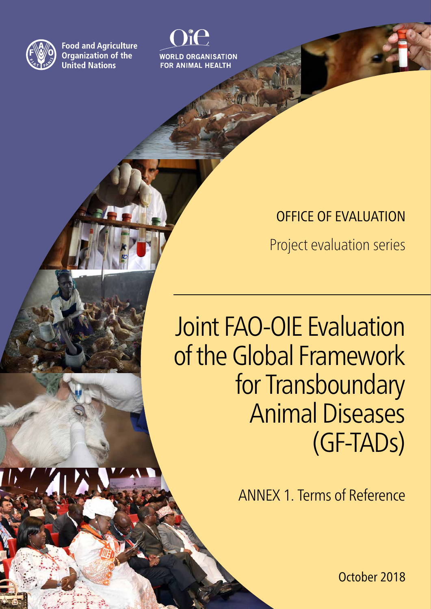

**Food and Agriculture** Organization of the **United Nations** 

**WORLD ORGANISATION FOR ANIMAL HEALTH** 

## OFFICE OF EVALUATION

Project evaluation series

# Joint FAO-OIE Evaluation of the Global Framework for Transboundary Animal Diseases (GF-TADs)

ANNEX 1. Terms of Reference

October 2018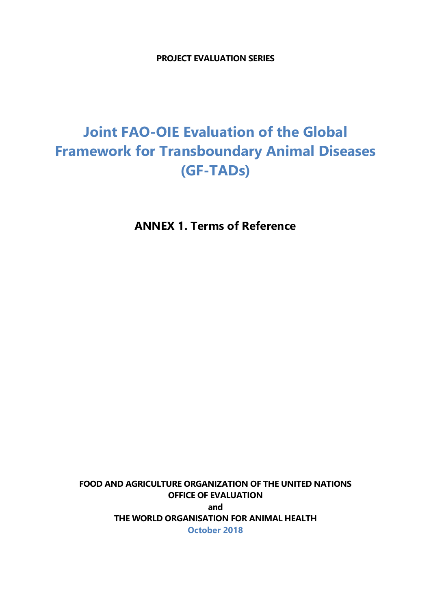**PROJECT EVALUATION SERIES**

## **Joint FAO-OIE Evaluation of the Global Framework for Transboundary Animal Diseases (GF-TADs)**

**ANNEX 1. Terms of Reference**

**FOOD AND AGRICULTURE ORGANIZATION OF THE UNITED NATIONS OFFICE OF EVALUATION and THE WORLD ORGANISATION FOR ANIMAL HEALTH October 2018**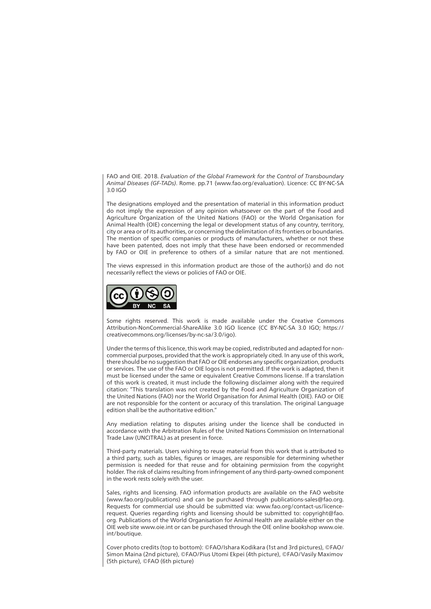FAO and OIE. 2018. *Evaluation of the Global Framework for the Control of Transboundary Animal Diseases (GF-TADs)*. Rome. pp.71 (www.fao.org/evaluation). Licence: CC BY-NC-SA 3.0 IGO

The designations employed and the presentation of material in this information product do not imply the expression of any opinion whatsoever on the part of the Food and Agriculture Organization of the United Nations (FAO) or the World Organisation for Animal Health (OIE) concerning the legal or development status of any country, territory, city or area or of its authorities, or concerning the delimitation of its frontiers or boundaries. The mention of specific companies or products of manufacturers, whether or not these have been patented, does not imply that these have been endorsed or recommended by FAO or OIE in preference to others of a similar nature that are not mentioned.

The views expressed in this information product are those of the author(s) and do not necessarily reflect the views or policies of FAO or OIE.



Some rights reserved. This work is made available under the Creative Commons Attribution-NonCommercial-ShareAlike 3.0 IGO licence (CC BY-NC-SA 3.0 IGO; https:// creativecommons.org/licenses/by-nc-sa/3.0/igo).

Under the terms of this licence, this work may be copied, redistributed and adapted for noncommercial purposes, provided that the work is appropriately cited. In any use of this work, there should be no suggestion that FAO or OIE endorses any specific organization, products or services. The use of the FAO or OIE logos is not permitted. If the work is adapted, then it must be licensed under the same or equivalent Creative Commons license. If a translation of this work is created, it must include the following disclaimer along with the required citation: "This translation was not created by the Food and Agriculture Organization of the United Nations (FAO) nor the World Organisation for Animal Health (OIE). FAO or OIE are not responsible for the content or accuracy of this translation. The original Language edition shall be the authoritative edition.

Any mediation relating to disputes arising under the licence shall be conducted in accordance with the Arbitration Rules of the United Nations Commission on International Trade Law (UNCITRAL) as at present in force.

Third-party materials. Users wishing to reuse material from this work that is attributed to a third party, such as tables, figures or images, are responsible for determining whether permission is needed for that reuse and for obtaining permission from the copyright holder. The risk of claims resulting from infringement of any third-party-owned component in the work rests solely with the user.

Sales, rights and licensing. FAO information products are available on the FAO website (www.fao.org/publications) and can be purchased through publications-sales@fao.org. Requests for commercial use should be submitted via: www.fao.org/contact-us/licencerequest. Queries regarding rights and licensing should be submitted to: copyright@fao. org. Publications of the World Organisation for Animal Health are available either on the OIE web site www.oie.int or can be purchased through the OIE online bookshop www.oie. int/boutique.

Cover photo credits (top to bottom): ©FAO/Ishara Kodikara (1st and 3rd pictures), ©FAO/ Simon Maina (2nd picture), ©FAO/Pius Utomi Ekpei (4th picture), ©FAO/Vasily Maximov (5th picture), ©FAO (6th picture)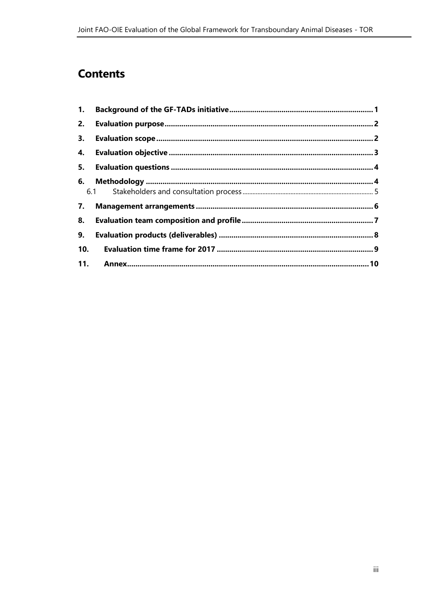### **Contents**

| 1.  |     |  |
|-----|-----|--|
| 2.  |     |  |
| 3.  |     |  |
| 4.  |     |  |
| 5.  |     |  |
| 6.  |     |  |
|     | 6.1 |  |
| 7.  |     |  |
| 8.  |     |  |
| 9.  |     |  |
| 10. |     |  |
| 11. |     |  |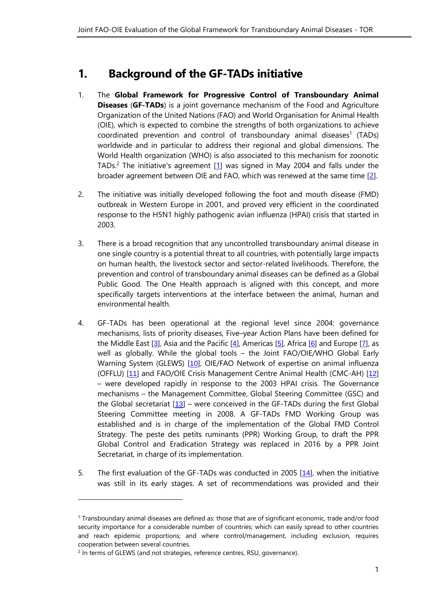#### <span id="page-6-0"></span>**1. Background of the GF-TADs initiative**

- 1. The **Global Framework for Progressive Control of Transboundary Animal Diseases** (**GF-TADs**) is a joint governance mechanism of the Food and Agriculture Organization of the United Nations (FAO) and World Organisation for Animal Health (OIE), which is expected to combine the strengths of both organizations to achieve coordinated prevention and control of transboundary animal diseases<sup>1</sup> (TADs) worldwide and in particular to address their regional and global dimensions. The World Health organization (WHO) is also associated to this mechanism for zoonotic TADs.<sup>2</sup> The initiative's agreement  $[1]$  was signed in May 2004 and falls under the broader agreement between OIE and FAO, which was renewed at the same time [\[2\]](#page-15-1).
- 2. The initiative was initially developed following the foot and mouth disease (FMD) outbreak in Western Europe in 2001, and proved very efficient in the coordinated response to the H5N1 highly pathogenic avian influenza (HPAI) crisis that started in 2003.
- 3. There is a broad recognition that any uncontrolled transboundary animal disease in one single country is a potential threat to all countries, with potentially large impacts on human health, the livestock sector and sector-related livelihoods. Therefore, the prevention and control of transboundary animal diseases can be defined as a Global Public Good. The One Health approach is aligned with this concept, and more specifically targets interventions at the interface between the animal, human and environmental health.
- 4. GF-TADs has been operational at the regional level since 2004: governance mechanisms, lists of priority diseases, Five–year Action Plans have been defined for the Middle East  $[3]$  $[3]$  $[3]$ , Asia and the Pacific  $[4]$  $[4]$  $[4]$ , Americas  $[5]$  $[5]$  $[5]$ , Africa  $[6]$  $[6]$  $[6]$  and Europe  $[7]$  $[7]$  $[7]$ , as well as globally. While the global tools – the Joint FAO/OIE/WHO Global Early Warning System (GLEWS) [[10](#page-15-7)], OIE/FAO Network of expertise on animal influenza (OFFLU) [[11](#page-15-8)] and FAO/OIE Crisis Management Centre Animal Health (CMC-AH) [[12](#page-15-9)] – were developed rapidly in response to the 2003 HPAI crisis. The Governance mechanisms – the Management Committee, Global Steering Committee (GSC) and the Global secretariat  $[13]$  $[13]$  $[13]$  – were conceived in the GF-TADs during the first Global Steering Committee meeting in 2008. A GF-TADs FMD Working Group was established and is in charge of the implementation of the Global FMD Control Strategy. The peste des petits ruminants (PPR) Working Group, to draft the PPR Global Control and Eradication Strategy was replaced in 2016 by a PPR Joint Secretariat, in charge of its implementation.
- 5. The first evaluation of the GF-TADs was conducted in 2005 [[14](#page-15-11)], when the initiative was still in its early stages. A set of recommendations was provided and their

 $\overline{a}$ 

<sup>1</sup> Transboundary animal diseases are defined as: those that are of significant economic, trade and/or food security importance for a considerable number of countries; which can easily spread to other countries and reach epidemic proportions; and where control/management, including exclusion, requires cooperation between several countries.

<sup>&</sup>lt;sup>2</sup> In terms of GLEWS (and not strategies, reference centres, RSU, governance).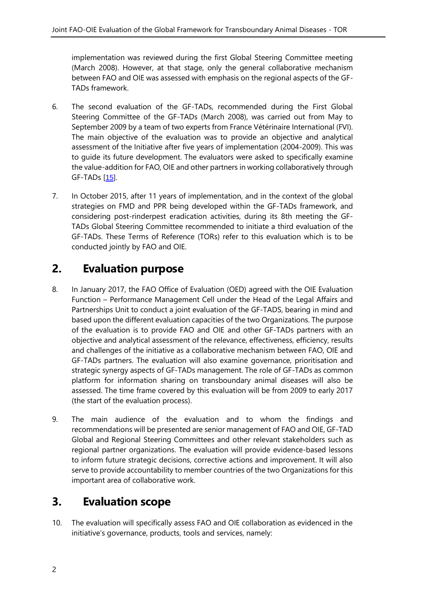implementation was reviewed during the first Global Steering Committee meeting (March 2008). However, at that stage, only the general collaborative mechanism between FAO and OIE was assessed with emphasis on the regional aspects of the GF-TADs framework.

- 6. The second evaluation of the GF-TADs, recommended during the First Global Steering Committee of the GF-TADs (March 2008), was carried out from May to September 2009 by a team of two experts from France Vétérinaire International (FVI). The main objective of the evaluation was to provide an objective and analytical assessment of the Initiative after five years of implementation (2004-2009). This was to guide its future development. The evaluators were asked to specifically examine the value-addition for FAO, OIE and other partners in working collaboratively through GF-TADs [[15](#page-15-12)].
- 7. In October 2015, after 11 years of implementation, and in the context of the global strategies on FMD and PPR being developed within the GF-TADs framework, and considering post-rinderpest eradication activities, during its 8th meeting the GF-TADs Global Steering Committee recommended to initiate a third evaluation of the GF-TADs. These Terms of Reference (TORs) refer to this evaluation which is to be conducted jointly by FAO and OIE.

#### <span id="page-7-0"></span>**2. Evaluation purpose**

- 8. In January 2017, the FAO Office of Evaluation (OED) agreed with the OIE Evaluation Function – Performance Management Cell under the Head of the Legal Affairs and Partnerships Unit to conduct a joint evaluation of the GF-TADS, bearing in mind and based upon the different evaluation capacities of the two Organizations. The purpose of the evaluation is to provide FAO and OIE and other GF-TADs partners with an objective and analytical assessment of the relevance, effectiveness, efficiency, results and challenges of the initiative as a collaborative mechanism between FAO, OIE and GF-TADs partners. The evaluation will also examine governance, prioritisation and strategic synergy aspects of GF-TADs management. The role of GF-TADs as common platform for information sharing on transboundary animal diseases will also be assessed. The time frame covered by this evaluation will be from 2009 to early 2017 (the start of the evaluation process).
- 9. The main audience of the evaluation and to whom the findings and recommendations will be presented are senior management of FAO and OIE, GF-TAD Global and Regional Steering Committees and other relevant stakeholders such as regional partner organizations. The evaluation will provide evidence-based lessons to inform future strategic decisions, corrective actions and improvement. It will also serve to provide accountability to member countries of the two Organizations for this important area of collaborative work.

#### <span id="page-7-1"></span>**3. Evaluation scope**

10. The evaluation will specifically assess FAO and OIE collaboration as evidenced in the initiative's governance, products, tools and services, namely: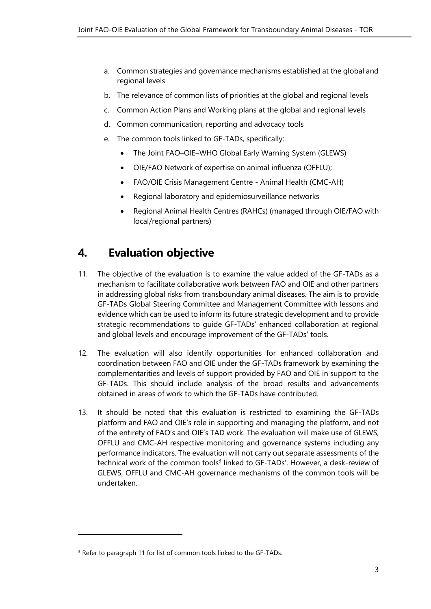- a. Common strategies and governance mechanisms established at the global and regional levels
- b. The relevance of common lists of priorities at the global and regional levels
- c. Common Action Plans and Working plans at the global and regional levels
- d. Common communication, reporting and advocacy tools
- e. The common tools linked to GF-TADs, specifically:
	- The Joint FAO–OIE–WHO Global Early Warning System (GLEWS)
	- OIE/FAO Network of expertise on animal influenza (OFFLU);
	- FAO/OIE Crisis Management Centre Animal Health (CMC-AH)
	- Regional laboratory and epidemiosurveillance networks
	- Regional Animal Health Centres (RAHCs) (managed through OIE/FAO with local/regional partners)

#### <span id="page-8-0"></span>**4. Evaluation objective**

- 11. The objective of the evaluation is to examine the value added of the GF-TADs as a mechanism to facilitate collaborative work between FAO and OIE and other partners in addressing global risks from transboundary animal diseases. The aim is to provide GF-TADs Global Steering Committee and Management Committee with lessons and evidence which can be used to inform its future strategic development and to provide strategic recommendations to guide GF-TADs' enhanced collaboration at regional and global levels and encourage improvement of the GF-TADs' tools.
- 12. The evaluation will also identify opportunities for enhanced collaboration and coordination between FAO and OIE under the GF-TADs framework by examining the complementarities and levels of support provided by FAO and OIE in support to the GF-TADs. This should include analysis of the broad results and advancements obtained in areas of work to which the GF-TADs have contributed.
- 13. It should be noted that this evaluation is restricted to examining the GF-TADs platform and FAO and OIE's role in supporting and managing the platform, and not of the entirety of FAO's and OIE's TAD work. The evaluation will make use of GLEWS, OFFLU and CMC-AH respective monitoring and governance systems including any performance indicators. The evaluation will not carry out separate assessments of the technical work of the common tools<sup>3</sup> linked to GF-TADs'. However, a desk-review of GLEWS, OFFLU and CMC-AH governance mechanisms of the common tools will be undertaken.

 $\overline{a}$ 

<sup>&</sup>lt;sup>3</sup> Refer to paragraph 11 for list of common tools linked to the GF-TADs.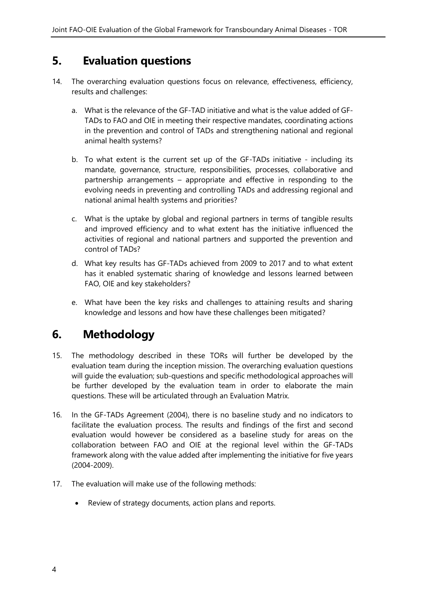#### <span id="page-9-0"></span>**5. Evaluation questions**

- 14. The overarching evaluation questions focus on relevance, effectiveness, efficiency, results and challenges:
	- a. What is the relevance of the GF-TAD initiative and what is the value added of GF-TADs to FAO and OIE in meeting their respective mandates, coordinating actions in the prevention and control of TADs and strengthening national and regional animal health systems?
	- b. To what extent is the current set up of the GF-TADs initiative including its mandate, governance, structure, responsibilities, processes, collaborative and partnership arrangements – appropriate and effective in responding to the evolving needs in preventing and controlling TADs and addressing regional and national animal health systems and priorities?
	- c. What is the uptake by global and regional partners in terms of tangible results and improved efficiency and to what extent has the initiative influenced the activities of regional and national partners and supported the prevention and control of TADs?
	- d. What key results has GF-TADs achieved from 2009 to 2017 and to what extent has it enabled systematic sharing of knowledge and lessons learned between FAO, OIE and key stakeholders?
	- e. What have been the key risks and challenges to attaining results and sharing knowledge and lessons and how have these challenges been mitigated?

#### <span id="page-9-1"></span>**6. Methodology**

- 15. The methodology described in these TORs will further be developed by the evaluation team during the inception mission. The overarching evaluation questions will guide the evaluation; sub-questions and specific methodological approaches will be further developed by the evaluation team in order to elaborate the main questions. These will be articulated through an Evaluation Matrix.
- 16. In the GF-TADs Agreement (2004), there is no baseline study and no indicators to facilitate the evaluation process. The results and findings of the first and second evaluation would however be considered as a baseline study for areas on the collaboration between FAO and OIE at the regional level within the GF-TADs framework along with the value added after implementing the initiative for five years (2004-2009).
- 17. The evaluation will make use of the following methods:
	- Review of strategy documents, action plans and reports.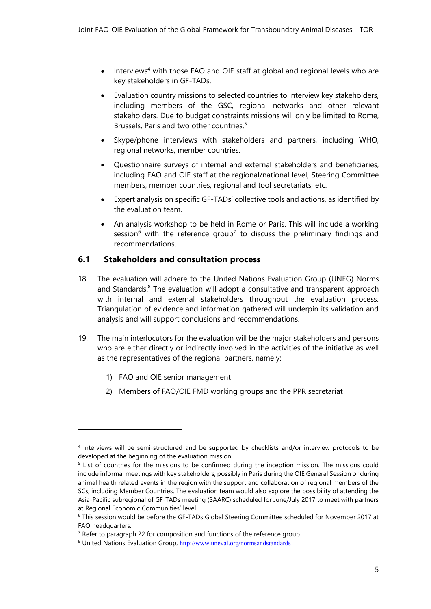- Interviews<sup>4</sup> with those FAO and OIE staff at global and regional levels who are key stakeholders in GF-TADs.
- Evaluation country missions to selected countries to interview key stakeholders, including members of the GSC, regional networks and other relevant stakeholders. Due to budget constraints missions will only be limited to Rome, Brussels, Paris and two other countries. 5
- Skype/phone interviews with stakeholders and partners, including WHO, regional networks, member countries.
- Questionnaire surveys of internal and external stakeholders and beneficiaries, including FAO and OIE staff at the regional/national level, Steering Committee members, member countries, regional and tool secretariats, etc.
- Expert analysis on specific GF-TADs' collective tools and actions, as identified by the evaluation team.
- An analysis workshop to be held in Rome or Paris. This will include a working session<sup>6</sup> with the reference group<sup>7</sup> to discuss the preliminary findings and recommendations.

#### <span id="page-10-0"></span>**6.1 Stakeholders and consultation process**

- 18. The evaluation will adhere to the United Nations Evaluation Group (UNEG) Norms and Standards.<sup>8</sup> The evaluation will adopt a consultative and transparent approach with internal and external stakeholders throughout the evaluation process. Triangulation of evidence and information gathered will underpin its validation and analysis and will support conclusions and recommendations.
- 19. The main interlocutors for the evaluation will be the major stakeholders and persons who are either directly or indirectly involved in the activities of the initiative as well as the representatives of the regional partners, namely:
	- 1) FAO and OIE senior management

 $\overline{a}$ 

2) Members of FAO/OIE FMD working groups and the PPR secretariat

<sup>4</sup> Interviews will be semi-structured and be supported by checklists and/or interview protocols to be developed at the beginning of the evaluation mission.

<sup>&</sup>lt;sup>5</sup> List of countries for the missions to be confirmed during the inception mission. The missions could include informal meetings with key stakeholders, possibly in Paris during the OIE General Session or during animal health related events in the region with the support and collaboration of regional members of the SCs, including Member Countries. The evaluation team would also explore the possibility of attending the Asia-Pacific subregional of GF-TADs meeting (SAARC) scheduled for June/July 2017 to meet with partners at Regional Economic Communities' level.

<sup>6</sup> This session would be before the GF-TADs Global Steering Committee scheduled for November 2017 at FAO headquarters.

<sup>&</sup>lt;sup>7</sup> Refer to paragraph 22 for composition and functions of the reference group.

<sup>8</sup> United Nations Evaluation Group, <http://www.uneval.org/normsandstandards>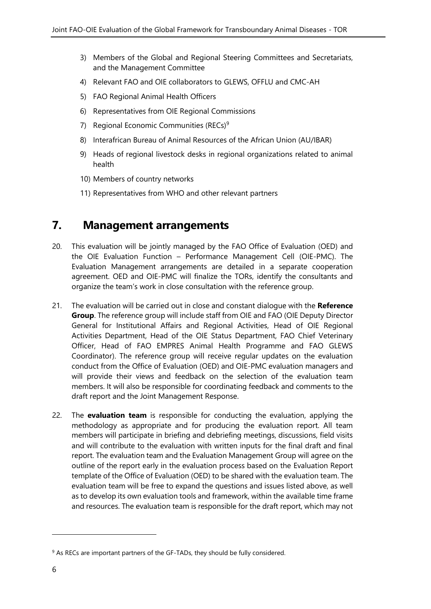- 3) Members of the Global and Regional Steering Committees and Secretariats, and the Management Committee
- 4) Relevant FAO and OIE collaborators to GLEWS, OFFLU and CMC-AH
- 5) FAO Regional Animal Health Officers
- 6) Representatives from OIE Regional Commissions
- 7) Regional Economic Communities (RECs)<sup>9</sup>
- 8) Interafrican Bureau of Animal Resources of the African Union (AU/IBAR)
- 9) Heads of regional livestock desks in regional organizations related to animal health
- 10) Members of country networks
- 11) Representatives from WHO and other relevant partners

#### <span id="page-11-0"></span>**7. Management arrangements**

- 20. This evaluation will be jointly managed by the FAO Office of Evaluation (OED) and the OIE Evaluation Function – Performance Management Cell (OIE-PMC). The Evaluation Management arrangements are detailed in a separate cooperation agreement. OED and OIE-PMC will finalize the TORs, identify the consultants and organize the team's work in close consultation with the reference group.
- 21. The evaluation will be carried out in close and constant dialogue with the **Reference Group**. The reference group will include staff from OIE and FAO (OIE Deputy Director General for Institutional Affairs and Regional Activities, Head of OIE Regional Activities Department, Head of the OIE Status Department, FAO Chief Veterinary Officer, Head of FAO EMPRES Animal Health Programme and FAO GLEWS Coordinator). The reference group will receive regular updates on the evaluation conduct from the Office of Evaluation (OED) and OIE-PMC evaluation managers and will provide their views and feedback on the selection of the evaluation team members. It will also be responsible for coordinating feedback and comments to the draft report and the Joint Management Response.
- 22. The **evaluation team** is responsible for conducting the evaluation, applying the methodology as appropriate and for producing the evaluation report. All team members will participate in briefing and debriefing meetings, discussions, field visits and will contribute to the evaluation with written inputs for the final draft and final report. The evaluation team and the Evaluation Management Group will agree on the outline of the report early in the evaluation process based on the Evaluation Report template of the Office of Evaluation (OED) to be shared with the evaluation team. The evaluation team will be free to expand the questions and issues listed above, as well as to develop its own evaluation tools and framework, within the available time frame and resources. The evaluation team is responsible for the draft report, which may not

1

<sup>&</sup>lt;sup>9</sup> As RECs are important partners of the GF-TADs, they should be fully considered.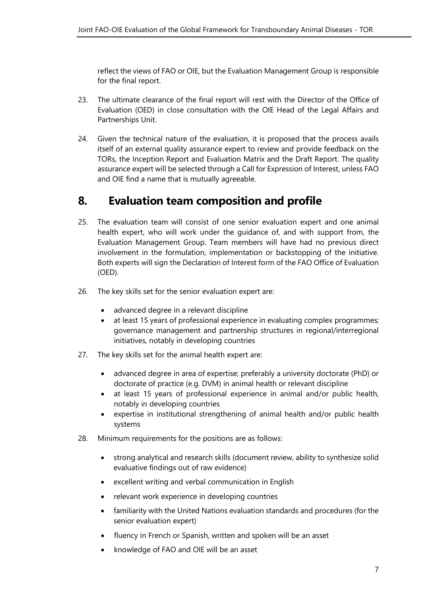reflect the views of FAO or OIE, but the Evaluation Management Group is responsible for the final report.

- 23. The ultimate clearance of the final report will rest with the Director of the Office of Evaluation (OED) in close consultation with the OIE Head of the Legal Affairs and Partnerships Unit.
- 24. Given the technical nature of the evaluation, it is proposed that the process avails itself of an external quality assurance expert to review and provide feedback on the TORs, the Inception Report and Evaluation Matrix and the Draft Report. The quality assurance expert will be selected through a Call for Expression of Interest, unless FAO and OIE find a name that is mutually agreeable.

#### <span id="page-12-0"></span>**8. Evaluation team composition and profile**

- 25. The evaluation team will consist of one senior evaluation expert and one animal health expert, who will work under the guidance of, and with support from, the Evaluation Management Group. Team members will have had no previous direct involvement in the formulation, implementation or backstopping of the initiative. Both experts will sign the Declaration of Interest form of the FAO Office of Evaluation (OED).
- 26. The key skills set for the senior evaluation expert are:
	- advanced degree in a relevant discipline
	- at least 15 years of professional experience in evaluating complex programmes; governance management and partnership structures in regional/interregional initiatives, notably in developing countries
- 27. The key skills set for the animal health expert are:
	- advanced degree in area of expertise; preferably a university doctorate (PhD) or doctorate of practice (e.g. DVM) in animal health or relevant discipline
	- at least 15 years of professional experience in animal and/or public health, notably in developing countries
	- expertise in institutional strengthening of animal health and/or public health systems
- 28. Minimum requirements for the positions are as follows:
	- strong analytical and research skills (document review, ability to synthesize solid evaluative findings out of raw evidence)
	- excellent writing and verbal communication in English
	- relevant work experience in developing countries
	- familiarity with the United Nations evaluation standards and procedures (for the senior evaluation expert)
	- fluency in French or Spanish, written and spoken will be an asset
	- knowledge of FAO and OIE will be an asset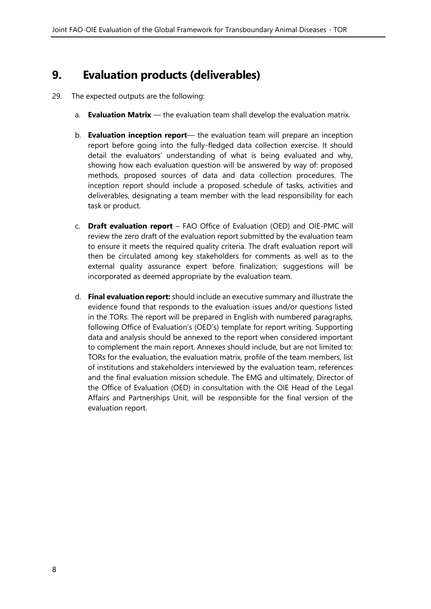#### <span id="page-13-0"></span>**9. Evaluation products (deliverables)**

- 29. The expected outputs are the following:
	- a. **Evaluation Matrix** the evaluation team shall develop the evaluation matrix.
	- b. **Evaluation inception report** the evaluation team will prepare an inception report before going into the fully-fledged data collection exercise. It should detail the evaluators' understanding of what is being evaluated and why, showing how each evaluation question will be answered by way of: proposed methods, proposed sources of data and data collection procedures. The inception report should include a proposed schedule of tasks, activities and deliverables, designating a team member with the lead responsibility for each task or product.
	- c. **Draft evaluation report** FAO Office of Evaluation (OED) and OIE-PMC will review the zero draft of the evaluation report submitted by the evaluation team to ensure it meets the required quality criteria. The draft evaluation report will then be circulated among key stakeholders for comments as well as to the external quality assurance expert before finalization; suggestions will be incorporated as deemed appropriate by the evaluation team.
	- d. **Final evaluation report:** should include an executive summary and illustrate the evidence found that responds to the evaluation issues and/or questions listed in the TORs. The report will be prepared in English with numbered paragraphs, following Office of Evaluation's (OED's) template for report writing. Supporting data and analysis should be annexed to the report when considered important to complement the main report. Annexes should include, but are not limited to: TORs for the evaluation, the evaluation matrix, profile of the team members, list of institutions and stakeholders interviewed by the evaluation team, references and the final evaluation mission schedule. The EMG and ultimately, Director of the Office of Evaluation (OED) in consultation with the OIE Head of the Legal Affairs and Partnerships Unit, will be responsible for the final version of the evaluation report.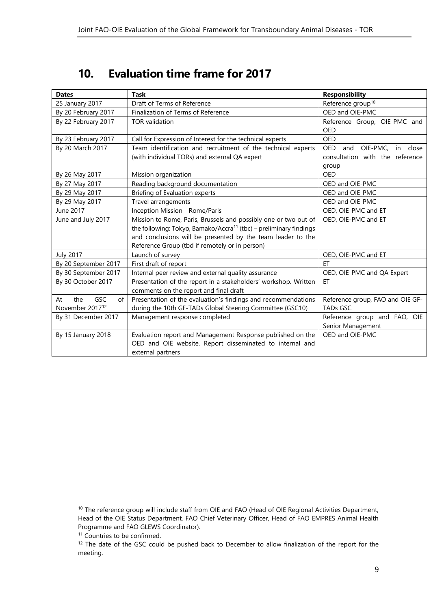#### <span id="page-14-0"></span>**10. Evaluation time frame for 2017**

| <b>Dates</b>                  | Task                                                                          | <b>Responsibility</b>                  |
|-------------------------------|-------------------------------------------------------------------------------|----------------------------------------|
| 25 January 2017               | Draft of Terms of Reference                                                   | Reference group <sup>10</sup>          |
| By 20 February 2017           | Finalization of Terms of Reference                                            | OED and OIE-PMC                        |
| By 22 February 2017           | <b>TOR</b> validation                                                         | Reference Group, OIE-PMC and           |
|                               |                                                                               | OED                                    |
| By 23 February 2017           | Call for Expression of Interest for the technical experts                     | OED                                    |
| By 20 March 2017              | Team identification and recruitment of the technical experts                  | and OIE-PMC.<br><b>OED</b><br>in close |
|                               | (with individual TORs) and external QA expert                                 | consultation with the reference        |
|                               |                                                                               | group                                  |
| By 26 May 2017                | Mission organization                                                          | <b>OED</b>                             |
| By 27 May 2017                | Reading background documentation                                              | OED and OIE-PMC                        |
| By 29 May 2017                | Briefing of Evaluation experts                                                | OED and OIE-PMC                        |
| By 29 May 2017                | Travel arrangements                                                           | OED and OIE-PMC                        |
| June 2017                     | Inception Mission - Rome/Paris                                                | OED, OIE-PMC and ET                    |
| June and July 2017            | Mission to Rome, Paris, Brussels and possibly one or two out of               | OED, OIE-PMC and ET                    |
|                               | the following: Tokyo, Bamako/Accra <sup>11</sup> (tbc) – preliminary findings |                                        |
|                               | and conclusions will be presented by the team leader to the                   |                                        |
|                               | Reference Group (tbd if remotely or in person)                                |                                        |
| <b>July 2017</b>              | Launch of survey                                                              | OED, OIE-PMC and ET                    |
| By 20 September 2017          | First draft of report                                                         | <b>FT</b>                              |
| By 30 September 2017          | Internal peer review and external quality assurance                           | OED, OIE-PMC and QA Expert             |
| By 30 October 2017            | Presentation of the report in a stakeholders' workshop. Written               | <b>ET</b>                              |
|                               | comments on the report and final draft                                        |                                        |
| <b>GSC</b><br>At<br>the<br>of | Presentation of the evaluation's findings and recommendations                 | Reference group, FAO and OIE GF-       |
| November 2017 <sup>12</sup>   | during the 10th GF-TADs Global Steering Committee (GSC10)                     | <b>TADs GSC</b>                        |
| By 31 December 2017           | Management response completed                                                 | Reference group and FAO, OIE           |
|                               |                                                                               | Senior Management                      |
| By 15 January 2018            | Evaluation report and Management Response published on the                    | OED and OIE-PMC                        |
|                               | OED and OIE website. Report disseminated to internal and                      |                                        |
|                               | external partners                                                             |                                        |

 $\overline{a}$ 

<sup>&</sup>lt;sup>10</sup> The reference group will include staff from OIE and FAO (Head of OIE Regional Activities Department, Head of the OIE Status Department, FAO Chief Veterinary Officer, Head of FAO EMPRES Animal Health Programme and FAO GLEWS Coordinator).

<sup>&</sup>lt;sup>11</sup> Countries to be confirmed.

<sup>&</sup>lt;sup>12</sup> The date of the GSC could be pushed back to December to allow finalization of the report for the meeting.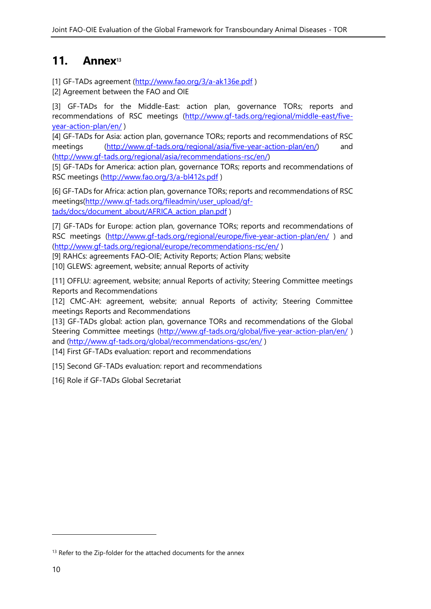#### <span id="page-15-0"></span>**11. Annex<sup>13</sup>**

[1] GF-TADs agreement [\(http://www.fao.org/3/a-ak136e.pdf](http://www.fao.org/3/a-ak136e.pdf))

<span id="page-15-1"></span>[2] [Agreement between the FAO and OIE](http://www.oie.int/eng/OIE/accords/en_accord_fao_2004.htm)

<span id="page-15-2"></span>[3] GF-TADs for the Middle-East: action plan, governance TORs; reports and recommendations of RSC meetings [\(http://www.gf-tads.org/regional/middle-east/five](http://www.gf-tads.org/regional/middle-east/five-year-action-plan/en/)[year-action-plan/en/](http://www.gf-tads.org/regional/middle-east/five-year-action-plan/en/) )

<span id="page-15-3"></span>[4] GF-TADs for Asia: action plan, governance TORs; reports and recommendations of RSC meetings [\(http://www.gf-tads.org/regional/asia/five-year-action-plan/en/\)](http://www.gf-tads.org/regional/asia/five-year-action-plan/en/) and [\(http://www.gf-tads.org/regional/asia/recommendations-rsc/en/\)](http://www.gf-tads.org/regional/asia/recommendations-rsc/en/)

<span id="page-15-4"></span>[5] GF-TADs for America: action plan, governance TORs; reports and recommendations of RSC meetings [\(http://www.fao.org/3/a-bl412s.pdf](http://www.fao.org/3/a-bl412s.pdf) )

<span id="page-15-5"></span>[6] GF-TADs for Africa: action plan, governance TORs; reports and recommendations of RSC meetings[\(http://www.gf-tads.org/fileadmin/user\\_upload/gf](http://www.gf-tads.org/fileadmin/user_upload/gf-tads/docs/document_about/AFRICA_action_plan.pdf)[tads/docs/document\\_about/AFRICA\\_action\\_plan.pdf](http://www.gf-tads.org/fileadmin/user_upload/gf-tads/docs/document_about/AFRICA_action_plan.pdf) )

<span id="page-15-6"></span>[7] GF-TADs for Europe: action plan, governance TORs; reports and recommendations of RSC meetings [\(http://www.gf-tads.org/regional/europe/five-year-action-plan/en/](http://www.gf-tads.org/regional/europe/five-year-action-plan/en/)) and [\(http://www.gf-tads.org/regional/europe/recommendations-rsc/en/](http://www.gf-tads.org/regional/europe/recommendations-rsc/en/) )

<span id="page-15-7"></span>[9] RAHCs: agreements FAO-OIE; Activity Reports; Action Plans; website [10] GLEWS: agreement, website; annual Reports of activity

<span id="page-15-8"></span>[11] OFFLU: agreement, website; annual Reports of activity; Steering Committee meetings Reports and Recommendations

<span id="page-15-9"></span>[12] CMC-AH: agreement, website; annual Reports of activity; Steering Committee meetings Reports and Recommendations

<span id="page-15-10"></span>[13] GF-TADs global: action plan, governance TORs and recommendations of the Global Steering Committee meetings [\(http://www.gf-tads.org/global/five-year-action-plan/en/](http://www.gf-tads.org/global/five-year-action-plan/en/)) and [\(http://www.gf-tads.org/global/recommendations-gsc/en/](http://www.gf-tads.org/global/recommendations-gsc/en/) ) [14] First GF-TADs evaluation: report and recommendations

<span id="page-15-12"></span><span id="page-15-11"></span>[15] Second GF-TADs evaluation: report and recommendations

[16] Role if GF-TADs Global Secretariat

1

<sup>&</sup>lt;sup>13</sup> Refer to the Zip-folder for the attached documents for the annex